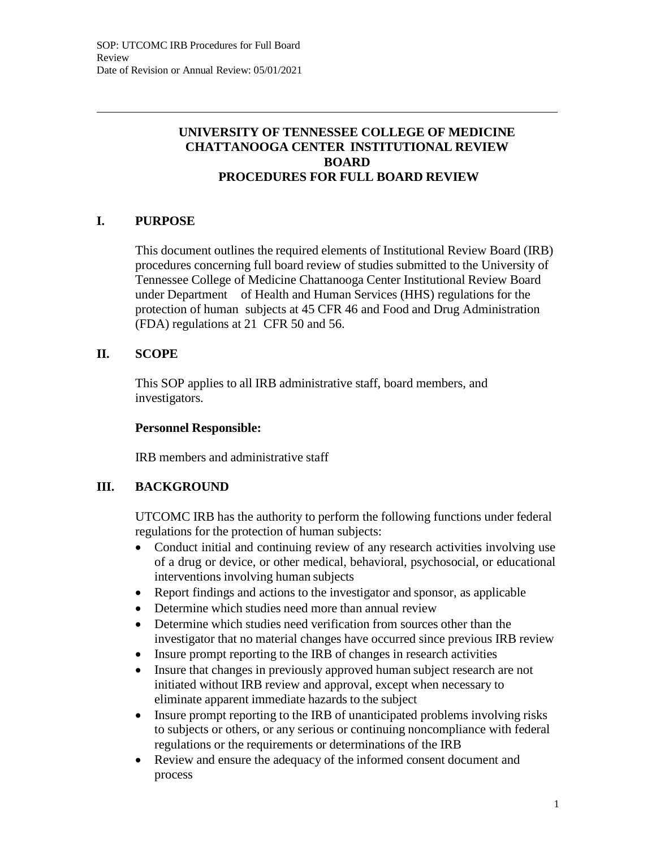## **UNIVERSITY OF TENNESSEE COLLEGE OF MEDICINE CHATTANOOGA CENTER INSTITUTIONAL REVIEW BOARD PROCEDURES FOR FULL BOARD REVIEW**

# **I. PURPOSE**

This document outlines the required elements of Institutional Review Board (IRB) procedures concerning full board review of studies submitted to the University of Tennessee College of Medicine Chattanooga Center Institutional Review Board under Department of Health and Human Services (HHS) regulations for the protection of human subjects at 45 CFR 46 and Food and Drug Administration (FDA) regulations at 21 CFR 50 and 56.

## **II. SCOPE**

This SOP applies to all IRB administrative staff, board members, and investigators.

#### **Personnel Responsible:**

IRB members and administrative staff

## **III. BACKGROUND**

UTCOMC IRB has the authority to perform the following functions under federal regulations for the protection of human subjects:

- Conduct initial and continuing review of any research activities involving use of a drug or device, or other medical, behavioral, psychosocial, or educational interventions involving human subjects
- Report findings and actions to the investigator and sponsor, as applicable
- Determine which studies need more than annual review
- Determine which studies need verification from sources other than the investigator that no material changes have occurred since previous IRB review
- Insure prompt reporting to the IRB of changes in research activities
- Insure that changes in previously approved human subject research are not initiated without IRB review and approval, except when necessary to eliminate apparent immediate hazards to the subject
- Insure prompt reporting to the IRB of unanticipated problems involving risks to subjects or others, or any serious or continuing noncompliance with federal regulations or the requirements or determinations of the IRB
- Review and ensure the adequacy of the informed consent document and process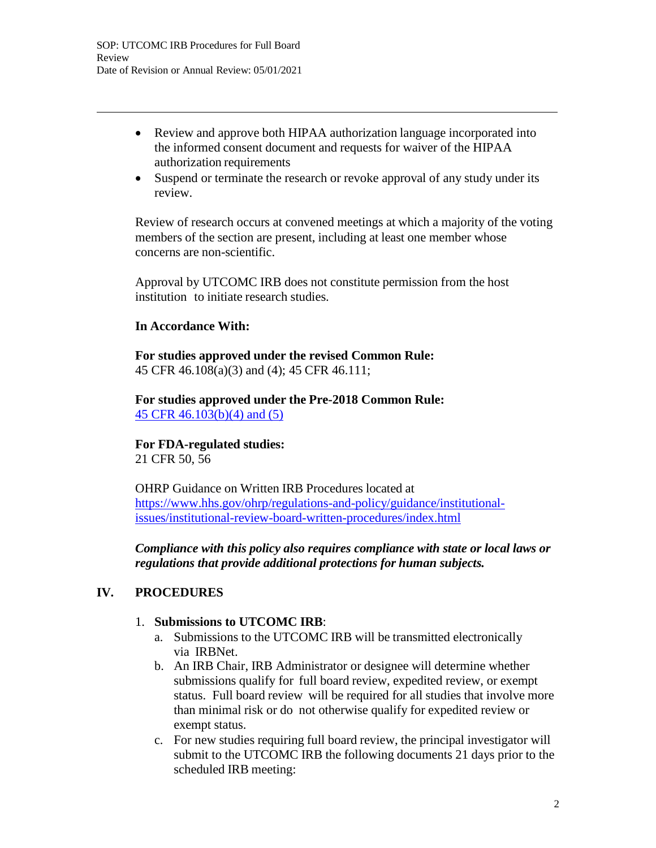- Review and approve both HIPAA authorization language incorporated into the informed consent document and requests for waiver of the HIPAA authorization requirements
- Suspend or terminate the research or revoke approval of any study under its review.

Review of research occurs at convened meetings at which a majority of the voting members of the section are present, including at least one member whose concerns are non-scientific.

Approval by UTCOMC IRB does not constitute permission from the host institution to initiate research studies.

#### **In Accordance With:**

**For studies approved under the revised Common Rule:** 45 CFR 46.108(a)(3) and (4); 45 CFR 46.111;

**For studies approved under the Pre-2018 Common Rule:** 45 CFR 46.103(b)(4) and (5)

**For FDA-regulated studies:** 21 CFR 50, 56

OHRP Guidance on Written IRB Procedures located at https:/[/www.hhs.gov/ohrp/regulations-and-policy/guidance/institutional](http://www.hhs.gov/ohrp/regulations-and-policy/guidance/institutional-)issues/institutional-review-board-written-procedures/index.html

*Compliance with this policy also requires compliance with state or local laws or regulations that provide additional protections for human subjects.*

## **IV. PROCEDURES**

#### 1. **Submissions to UTCOMC IRB**:

- a. Submissions to the UTCOMC IRB will be transmitted electronically via IRBNet.
- b. An IRB Chair, IRB Administrator or designee will determine whether submissions qualify for full board review, expedited review, or exempt status. Full board review will be required for all studies that involve more than minimal risk or do not otherwise qualify for expedited review or exempt status.
- c. For new studies requiring full board review, the principal investigator will submit to the UTCOMC IRB the following documents 21 days prior to the scheduled IRB meeting: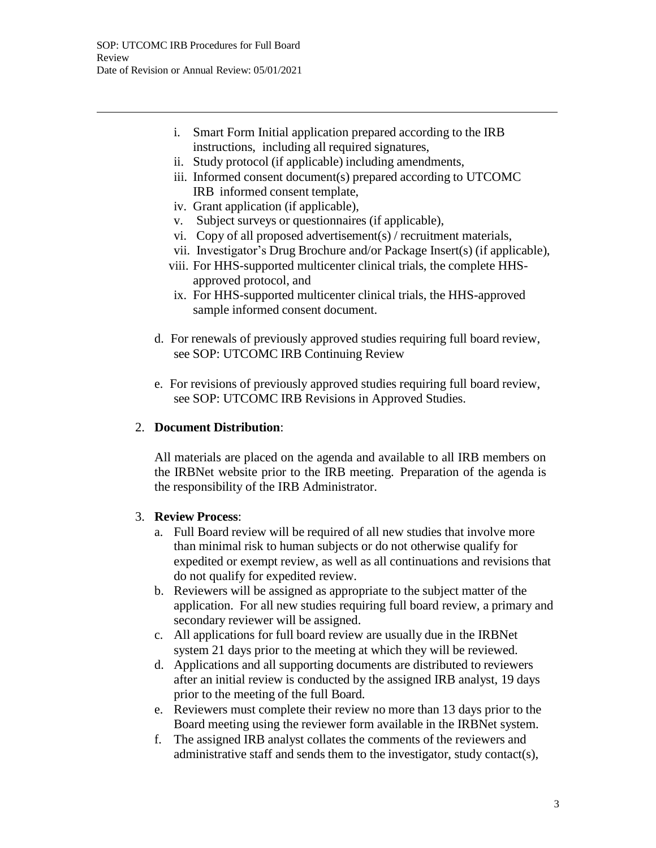- i. Smart Form Initial application prepared according to the IRB instructions, including all required signatures,
- ii. Study protocol (if applicable) including amendments,
- iii. Informed consent document(s) prepared according to UTCOMC IRB informed consent template,
- iv. Grant application (if applicable),
- v. Subject surveys or questionnaires (if applicable),
- vi. Copy of all proposed advertisement(s) / recruitment materials,
- vii. Investigator's Drug Brochure and/or Package Insert(s) (if applicable),
- viii. For HHS-supported multicenter clinical trials, the complete HHSapproved protocol, and
	- ix. For HHS-supported multicenter clinical trials, the HHS-approved sample informed consent document.
- d. For renewals of previously approved studies requiring full board review, see SOP: UTCOMC IRB Continuing Review
- e. For revisions of previously approved studies requiring full board review, see SOP: UTCOMC IRB Revisions in Approved Studies.

### 2. **Document Distribution**:

All materials are placed on the agenda and available to all IRB members on the IRBNet website prior to the IRB meeting. Preparation of the agenda is the responsibility of the IRB Administrator.

#### 3. **Review Process**:

- a. Full Board review will be required of all new studies that involve more than minimal risk to human subjects or do not otherwise qualify for expedited or exempt review, as well as all continuations and revisions that do not qualify for expedited review.
- b. Reviewers will be assigned as appropriate to the subject matter of the application. For all new studies requiring full board review, a primary and secondary reviewer will be assigned.
- c. All applications for full board review are usually due in the IRBNet system 21 days prior to the meeting at which they will be reviewed.
- d. Applications and all supporting documents are distributed to reviewers after an initial review is conducted by the assigned IRB analyst, 19 days prior to the meeting of the full Board.
- e. Reviewers must complete their review no more than 13 days prior to the Board meeting using the reviewer form available in the IRBNet system.
- f. The assigned IRB analyst collates the comments of the reviewers and administrative staff and sends them to the investigator, study contact(s),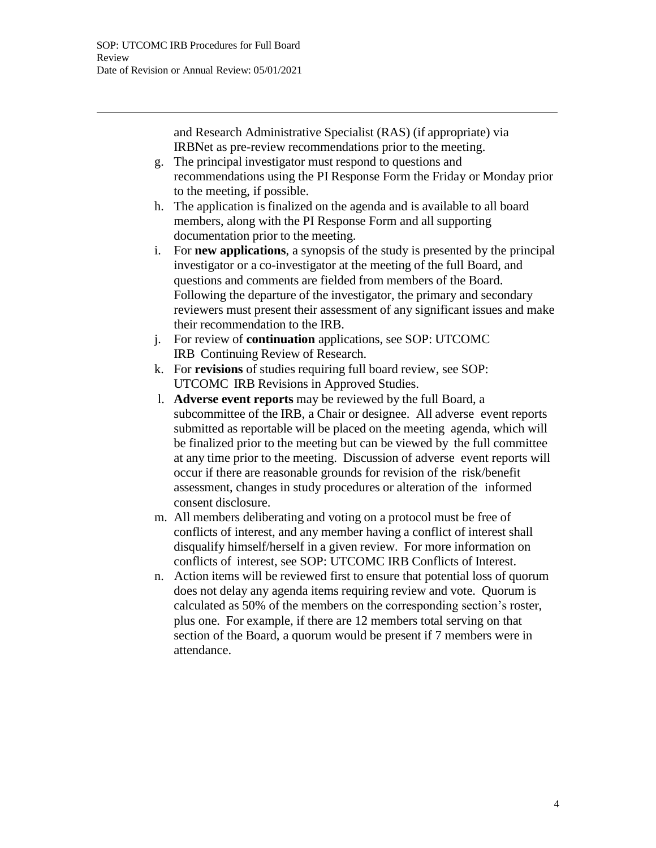and Research Administrative Specialist (RAS) (if appropriate) via IRBNet as pre-review recommendations prior to the meeting.

- g. The principal investigator must respond to questions and recommendations using the PI Response Form the Friday or Monday prior to the meeting, if possible.
- h. The application is finalized on the agenda and is available to all board members, along with the PI Response Form and all supporting documentation prior to the meeting.
- i. For **new applications**, a synopsis of the study is presented by the principal investigator or a co-investigator at the meeting of the full Board, and questions and comments are fielded from members of the Board. Following the departure of the investigator, the primary and secondary reviewers must present their assessment of any significant issues and make their recommendation to the IRB.
- j. For review of **continuation** applications, see SOP: UTCOMC IRB Continuing Review of Research.
- k. For **revisions** of studies requiring full board review, see SOP: UTCOMC IRB Revisions in Approved Studies.
- l. **Adverse event reports** may be reviewed by the full Board, a subcommittee of the IRB, a Chair or designee. All adverse event reports submitted as reportable will be placed on the meeting agenda, which will be finalized prior to the meeting but can be viewed by the full committee at any time prior to the meeting. Discussion of adverse event reports will occur if there are reasonable grounds for revision of the risk/benefit assessment, changes in study procedures or alteration of the informed consent disclosure.
- m. All members deliberating and voting on a protocol must be free of conflicts of interest, and any member having a conflict of interest shall disqualify himself/herself in a given review. For more information on conflicts of interest, see SOP: UTCOMC IRB Conflicts of Interest.
- n. Action items will be reviewed first to ensure that potential loss of quorum does not delay any agenda items requiring review and vote. Quorum is calculated as 50% of the members on the corresponding section's roster, plus one. For example, if there are 12 members total serving on that section of the Board, a quorum would be present if 7 members were in attendance.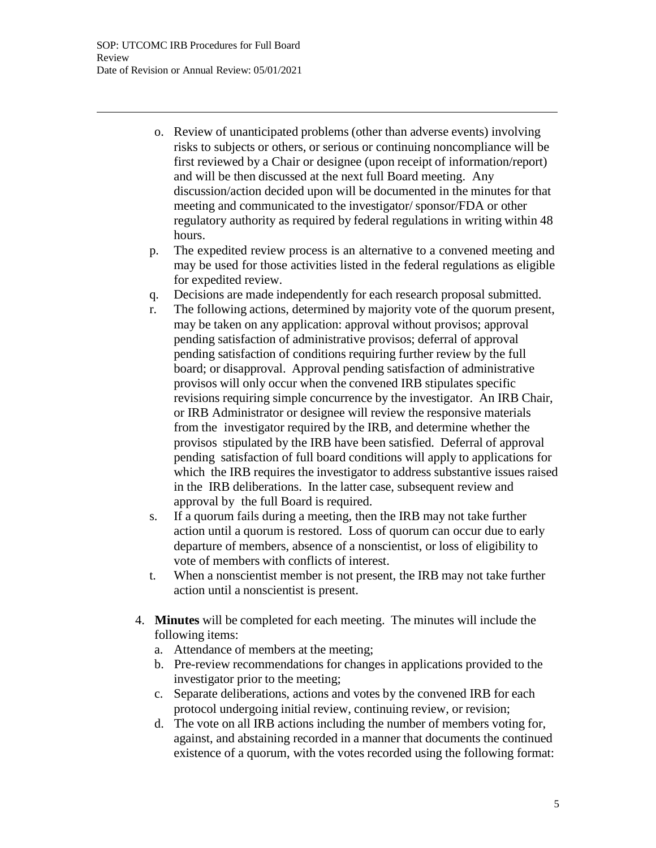- o. Review of unanticipated problems (other than adverse events) involving risks to subjects or others, or serious or continuing noncompliance will be first reviewed by a Chair or designee (upon receipt of information/report) and will be then discussed at the next full Board meeting. Any discussion/action decided upon will be documented in the minutes for that meeting and communicated to the investigator/ sponsor/FDA or other regulatory authority as required by federal regulations in writing within 48 hours.
- p. The expedited review process is an alternative to a convened meeting and may be used for those activities listed in the federal regulations as eligible for expedited review.
- q. Decisions are made independently for each research proposal submitted.
- r. The following actions, determined by majority vote of the quorum present, may be taken on any application: approval without provisos; approval pending satisfaction of administrative provisos; deferral of approval pending satisfaction of conditions requiring further review by the full board; or disapproval. Approval pending satisfaction of administrative provisos will only occur when the convened IRB stipulates specific revisions requiring simple concurrence by the investigator. An IRB Chair, or IRB Administrator or designee will review the responsive materials from the investigator required by the IRB, and determine whether the provisos stipulated by the IRB have been satisfied. Deferral of approval pending satisfaction of full board conditions will apply to applications for which the IRB requires the investigator to address substantive issues raised in the IRB deliberations. In the latter case, subsequent review and approval by the full Board is required.
- s. If a quorum fails during a meeting, then the IRB may not take further action until a quorum is restored. Loss of quorum can occur due to early departure of members, absence of a nonscientist, or loss of eligibility to vote of members with conflicts of interest.
- t. When a nonscientist member is not present, the IRB may not take further action until a nonscientist is present.
- 4. **Minutes** will be completed for each meeting. The minutes will include the following items:
	- a. Attendance of members at the meeting;
	- b. Pre-review recommendations for changes in applications provided to the investigator prior to the meeting;
	- c. Separate deliberations, actions and votes by the convened IRB for each protocol undergoing initial review, continuing review, or revision;
	- d. The vote on all IRB actions including the number of members voting for, against, and abstaining recorded in a manner that documents the continued existence of a quorum, with the votes recorded using the following format: